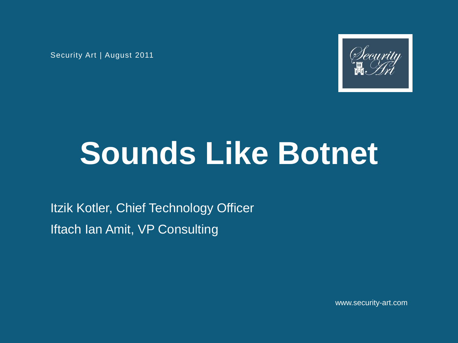Security Art | August 2011



# **Sounds Like Botnet**

Itzik Kotler, Chief Technology Officer Iftach Ian Amit, VP Consulting

www.security-art.com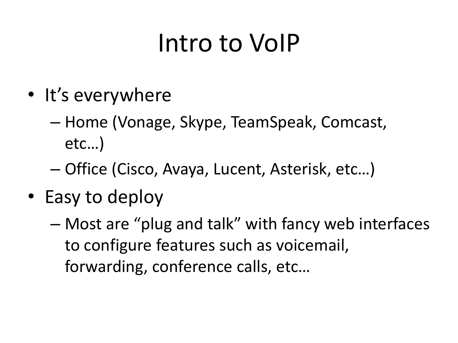### Intro to VoIP

- It's everywhere
	- Home (Vonage, Skype, TeamSpeak, Comcast, etc…)
	- Office (Cisco, Avaya, Lucent, Asterisk, etc…)
- Easy to deploy
	- Most are "plug and talk" with fancy web interfaces to configure features such as voicemail, forwarding, conference calls, etc…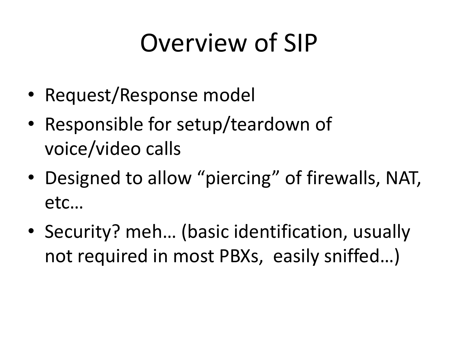### Overview of SIP

- Request/Response model
- Responsible for setup/teardown of voice/video calls
- Designed to allow "piercing" of firewalls, NAT, etc…
- Security? meh… (basic identification, usually not required in most PBXs, easily sniffed…)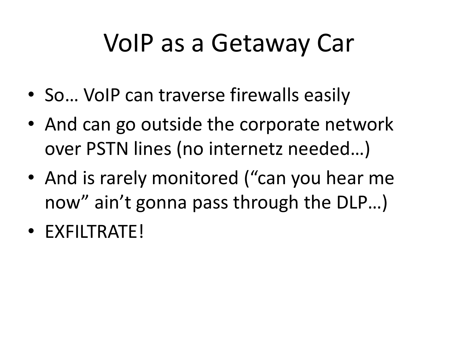### VoIP as a Getaway Car

- So... VoIP can traverse firewalls easily
- And can go outside the corporate network over PSTN lines (no internetz needed…)
- And is rarely monitored ("can you hear me now" ain't gonna pass through the DLP…)
- EXFILTRATE!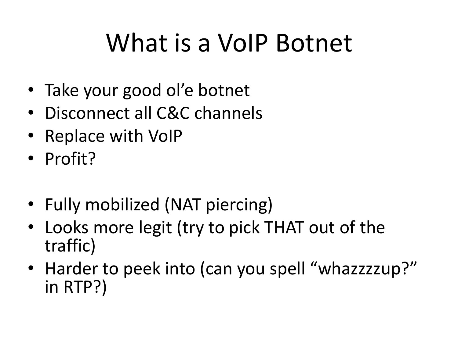### What is a VoIP Botnet

- Take your good ol'e botnet
- Disconnect all C&C channels
- Replace with VoIP
- Profit?
- Fully mobilized (NAT piercing)
- Looks more legit (try to pick THAT out of the traffic)
- Harder to peek into (can you spell "whazzzzup?" in RTP?)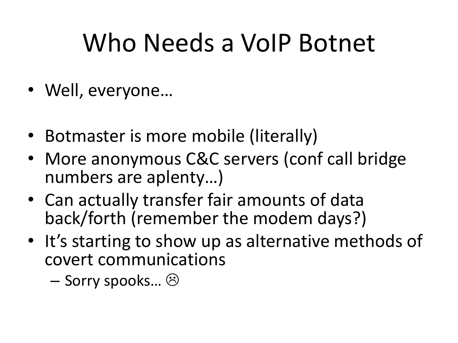### Who Needs a VoIP Botnet

- Well, everyone...
- Botmaster is more mobile (literally)
- More anonymous C&C servers (conf call bridge numbers are aplenty…)
- Can actually transfer fair amounts of data back/forth (remember the modem days?)
- It's starting to show up as alternative methods of covert communications
	- Sorry spooks…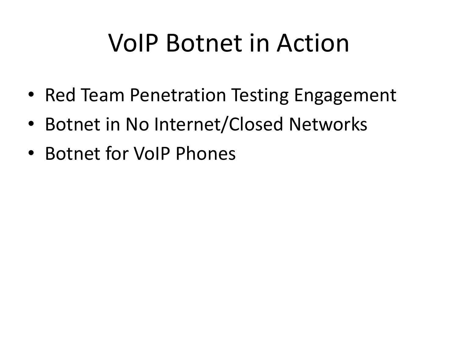### VoIP Botnet in Action

- Red Team Penetration Testing Engagement
- Botnet in No Internet/Closed Networks
- Botnet for VoIP Phones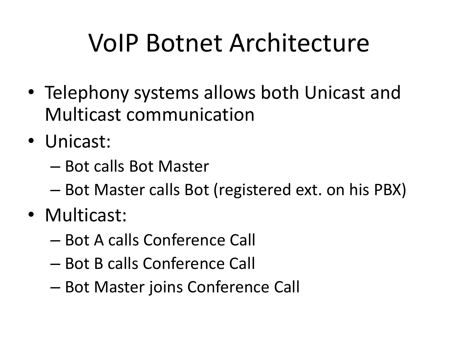### VoIP Botnet Architecture

- Telephony systems allows both Unicast and Multicast communication
- Unicast:
	- Bot calls Bot Master
	- Bot Master calls Bot (registered ext. on his PBX)
- Multicast:
	- Bot A calls Conference Call
	- Bot B calls Conference Call
	- Bot Master joins Conference Call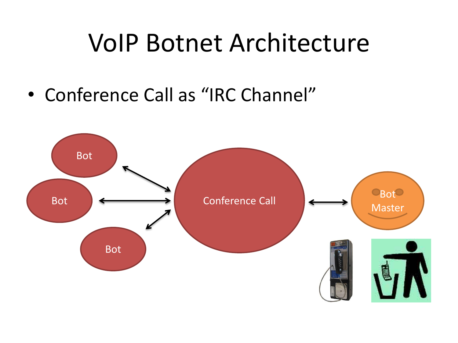#### VoIP Botnet Architecture

• Conference Call as "IRC Channel"

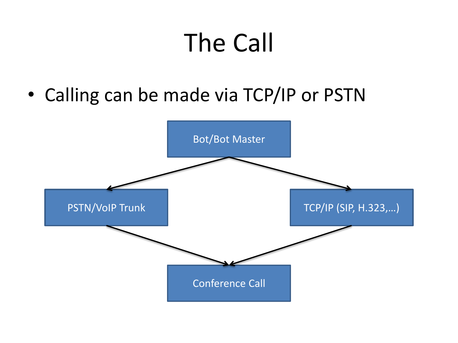# The Call

• Calling can be made via TCP/IP or PSTN

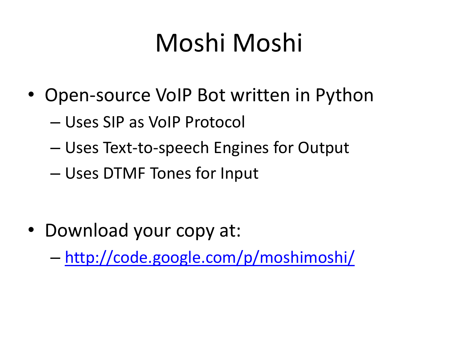### Moshi Moshi

- Open-source VoIP Bot written in Python
	- Uses SIP as VoIP Protocol
	- Uses Text-to-speech Engines for Output
	- Uses DTMF Tones for Input

• Download your copy at:

– [http://code.google.com/p/moshimoshi/](https://code.google.com/p/moshimoshi/)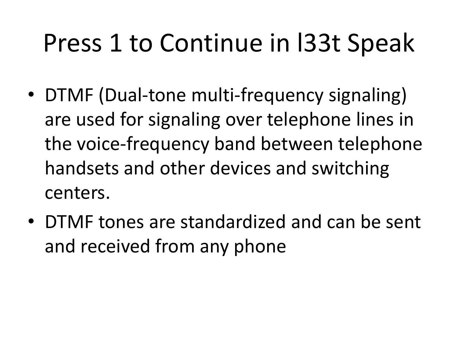### Press 1 to Continue in l33t Speak

- DTMF (Dual-tone multi-frequency signaling) are used for signaling over telephone lines in the voice-frequency band between telephone handsets and other devices and switching centers.
- DTMF tones are standardized and can be sent and received from any phone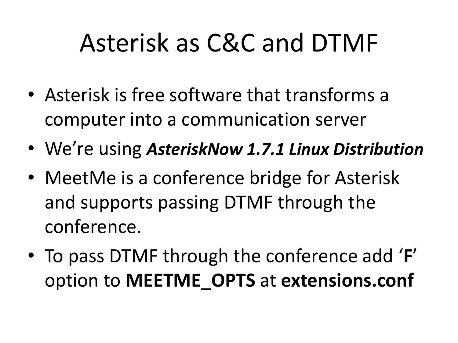### Asterisk as C&C and DTMF

- Asterisk is free software that transforms a computer into a communication server
- We're using *AsteriskNow 1.7.1 Linux Distribution*
- MeetMe is a conference bridge for Asterisk and supports passing DTMF through the conference.
- To pass DTMF through the conference add '**F**' option to **MEETME\_OPTS** at **extensions.conf**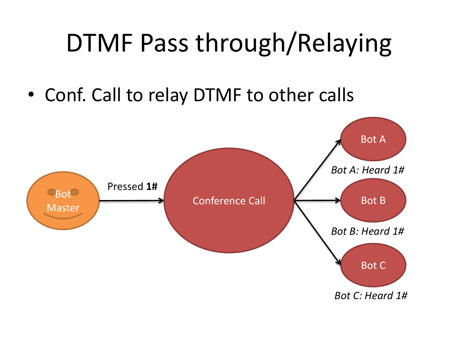### DTMF Pass through/Relaying

• Conf. Call to relay DTMF to other calls

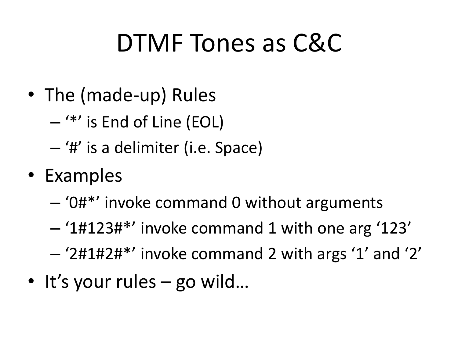### DTMF Tones as C&C

- The (made-up) Rules
	- '\*' is End of Line (EOL)
	- '#' is a delimiter (i.e. Space)
- Examples
	- '0#\*' invoke command 0 without arguments
	- '1#123#\*' invoke command 1 with one arg '123'
	- '2#1#2#\*' invoke command 2 with args '1' and '2'
- It's your rules go wild...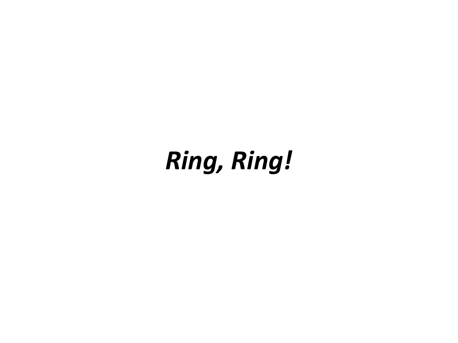#### *Ring, Ring!*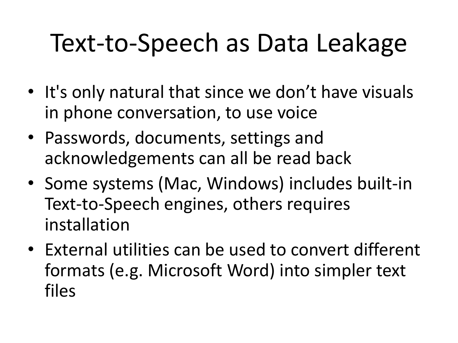### Text-to-Speech as Data Leakage

- It's only natural that since we don't have visuals in phone conversation, to use voice
- Passwords, documents, settings and acknowledgements can all be read back
- Some systems (Mac, Windows) includes built-in Text-to-Speech engines, others requires installation
- External utilities can be used to convert different formats (e.g. Microsoft Word) into simpler text files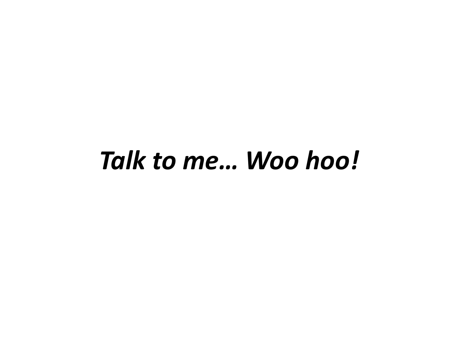#### *Talk to me… Woo hoo!*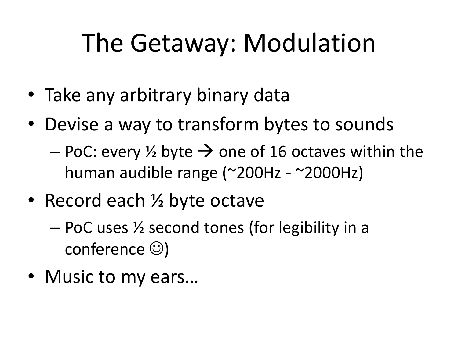### The Getaway: Modulation

- Take any arbitrary binary data
- Devise a way to transform bytes to sounds
	- $-$  PoC: every  $\frac{1}{2}$  byte  $\rightarrow$  one of 16 octaves within the human audible range (~200Hz - ~2000Hz)
- Record each 1/2 byte octave
	- PoC uses ½ second tones (for legibility in a conference  $\circledcirc$ )
- Music to my ears…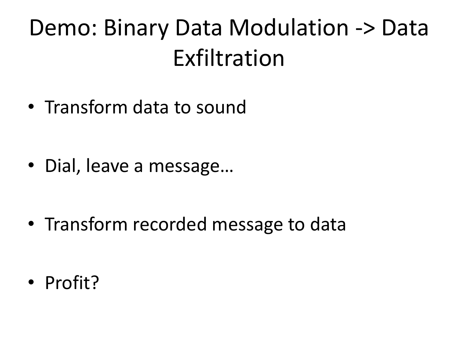#### Demo: Binary Data Modulation -> Data Exfiltration

• Transform data to sound

• Dial, leave a message…

• Transform recorded message to data

• Profit?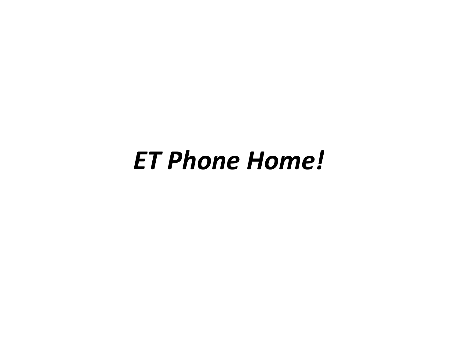#### *ET Phone Home!*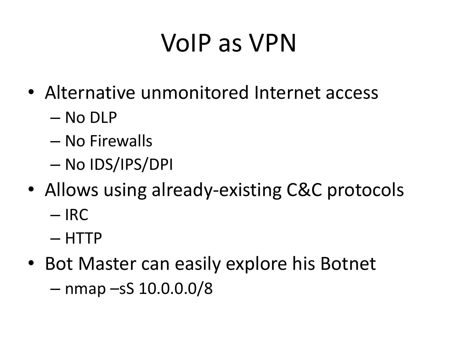### VoIP as VPN

- Alternative unmonitored Internet access
	- No DLP
	- No Firewalls
	- No IDS/IPS/DPI
- Allows using already-existing C&C protocols – IRC
	- HTTP
- Bot Master can easily explore his Botnet – nmap –sS 10.0.0.0/8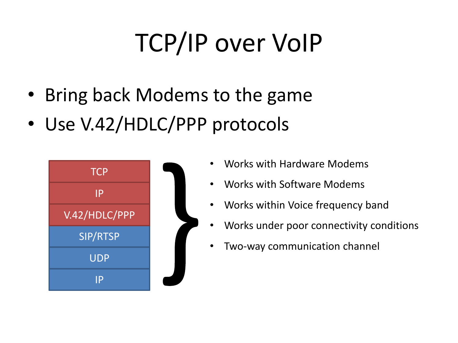# TCP/IP over VoIP

- Bring back Modems to the game
- Use V.42/HDLC/PPP protocols



- Works with Hardware Modems
- Works with Software Modems
- Works within Voice frequency band
- Works under poor connectivity conditions
- Two-way communication channel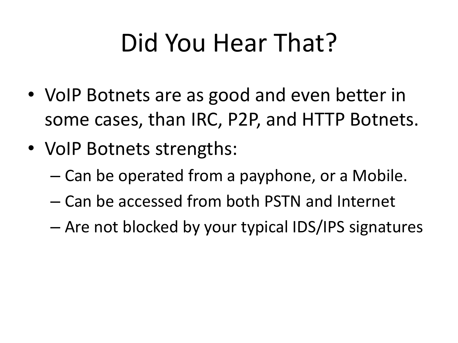# Did You Hear That?

- VoIP Botnets are as good and even better in some cases, than IRC, P2P, and HTTP Botnets.
- VoIP Botnets strengths:
	- Can be operated from a payphone, or a Mobile.
	- Can be accessed from both PSTN and Internet
	- Are not blocked by your typical IDS/IPS signatures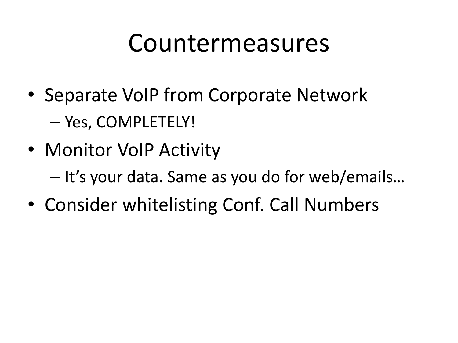#### Countermeasures

- Separate VoIP from Corporate Network – Yes, COMPLETELY!
- Monitor VoIP Activity
	- It's your data. Same as you do for web/emails…
- Consider whitelisting Conf. Call Numbers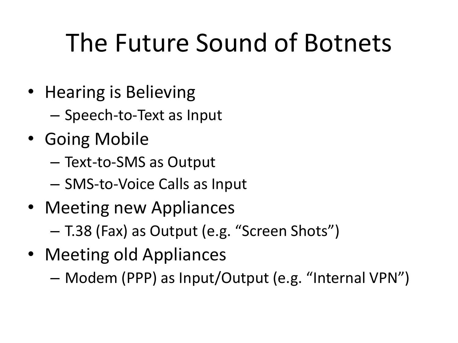## The Future Sound of Botnets

- Hearing is Believing
	- Speech-to-Text as Input
- Going Mobile
	- Text-to-SMS as Output
	- SMS-to-Voice Calls as Input
- Meeting new Appliances
	- T.38 (Fax) as Output (e.g. "Screen Shots")
- Meeting old Appliances
	- Modem (PPP) as Input/Output (e.g. "Internal VPN")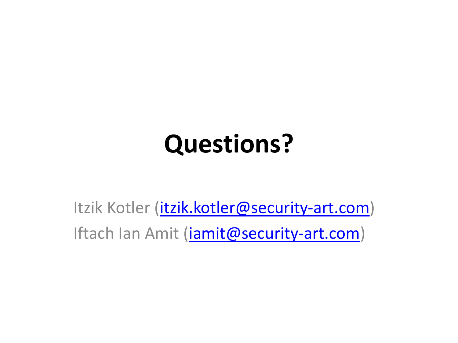### **Questions?**

Itzik Kotler (*itzik.kotler@security-art.com*) Iftach Ian Amit (*[iamit@security-art.com](mailto:iamit@security-art.com)*)